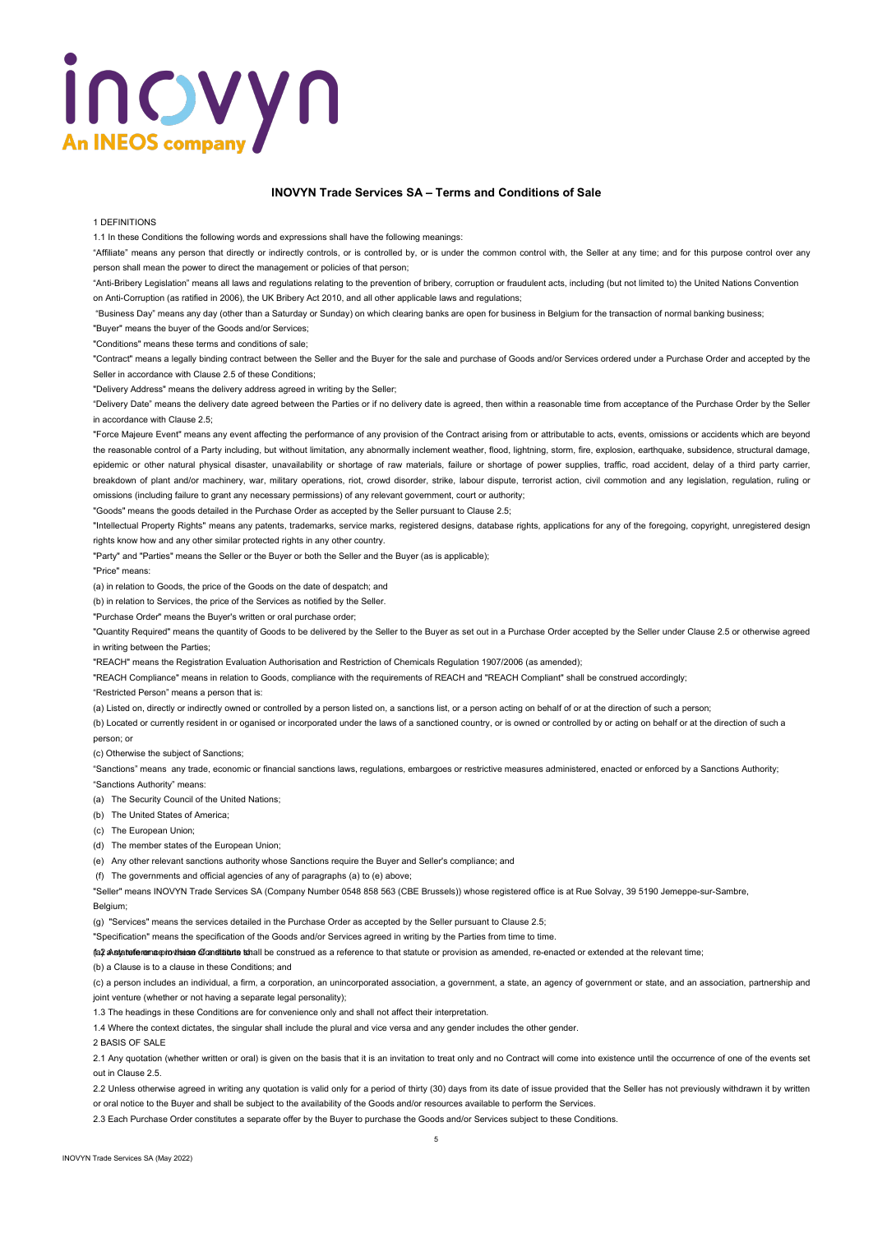# inovyn **An INEOS compar**

## **INOVYN Trade Services SA – Terms and Conditions of Sale**

### 1 DEFINITIONS

1.1 In these Conditions the following words and expressions shall have the following meanings:

"Affiliate" means any person that directly or indirectly controls, or is controlled by, or is under the common control with, the Seller at any time; and for this purpose control over any person shall mean the power to direct the management or policies of that person;

"Anti-Bribery Legislation" means all laws and regulations relating to the prevention of bribery, corruption or fraudulent acts, including (but not limited to) the United Nations Convention

on Anti-Corruption (as ratified in 2006), the UK Bribery Act 2010, and all other applicable laws and regulations;

"Business Day" means any day (other than a Saturday or Sunday) on which clearing banks are open for business in Belgium for the transaction of normal banking business;

"Buyer" means the buyer of the Goods and/or Services;

"Conditions" means these terms and conditions of sale;

"Contract" means a legally binding contract between the Seller and the Buyer for the sale and purchase of Goods and/or Services ordered under a Purchase Order and accepted by the Seller in accordance with Clause 2.5 of these Conditions;

"Delivery Address" means the delivery address agreed in writing by the Seller;

"Delivery Date" means the delivery date agreed between the Parties or if no delivery date is agreed, then within a reasonable time from acceptance of the Purchase Order by the Seller in accordance with Clause 2.5;

"Force Majeure Event" means any event affecting the performance of any provision of the Contract arising from or attributable to acts, events, omissions or accidents which are beyond the reasonable control of a Party including, but without limitation, any abnormally inclement weather, flood, lightning, storm, fire, explosion, earthquake, subsidence, structural damage, epidemic or other natural physical disaster, unavailability or shortage of raw materials, failure or shortage of power supplies, traffic, road accident, delay of a third party carrier, breakdown of plant and/or machinery, war, military operations, riot, crowd disorder, strike, labour dispute, terrorist action, civil commotion and any legislation, regulation, ruling or omissions (including failure to grant any necessary permissions) of any relevant government, court or authority;

"Goods" means the goods detailed in the Purchase Order as accepted by the Seller pursuant to Clause 2.5;

"Intellectual Property Rights" means any patents, trademarks, service marks, registered designs, database rights, applications for any of the foregoing, copyright, unregistered design rights know how and any other similar protected rights in any other country.

"Party" and "Parties" means the Seller or the Buyer or both the Seller and the Buyer (as is applicable);

"Price" means:

(a) in relation to Goods, the price of the Goods on the date of despatch; and

(b) in relation to Services, the price of the Services as notified by the Seller.

"Purchase Order" means the Buyer's written or oral purchase order;

"Quantity Required" means the quantity of Goods to be delivered by the Seller to the Buyer as set out in a Purchase Order accepted by the Seller under Clause 2.5 or otherwise agreed in writing between the Parties;

"REACH" means the Registration Evaluation Authorisation and Restriction of Chemicals Regulation 1907/2006 (as amended);

"REACH Compliance" means in relation to Goods, compliance with the requirements of REACH and "REACH Compliant" shall be construed accordingly;

"Restricted Person" means a person that is:

(a) Listed on, directly or indirectly owned or controlled by a person listed on, a sanctions list, or a person acting on behalf of or at the direction of such a person;

(b) Located or currently resident in or oganised or incorporated under the laws of a sanctioned country, or is owned or controlled by or acting on behalf or at the direction of such a person; or

(c) Otherwise the subject of Sanctions;

"Sanctions" means any trade, economic or financial sanctions laws, regulations, embargoes or restrictive measures administered, enacted or enforced by a Sanctions Authority; "Sanctions Authority" means:

(a) The Security Council of the United Nations:

(b) The United States of America;

(c) The European Union;

(d) The member states of the European Union;

(e) Any other relevant sanctions authority whose Sanctions require the Buyer and Seller's compliance; and

(f) The governments and official agencies of any of paragraphs (a) to (e) above;

"Seller" means INOVYN Trade Services SA (Company Number 0548 858 563 (CBE Brussels)) whose registered office is at Rue Solvay, 39 5190 Jemeppe-sur-Sambre,

Belgium;

(g) "Services" means the services detailed in the Purchase Order as accepted by the Seller pursuant to Clause 2.5;

"Specification" means the specification of the Goods and/or Services agreed in writing by the Parties from time to time.

(a) any tell enter or a statution of a statute shall be construed as a reference to that statute or provision as amended, re-enacted or extended at the relevant time;

### (b) a Clause is to a clause in these Conditions; and

(c) a person includes an individual, a firm, a corporation, an unincorporated association, a government, a state, an agency of government or state, and an association, partnership and joint venture (whether or not having a separate legal personality);

1.3 The headings in these Conditions are for convenience only and shall not affect their interpretation.

1.4 Where the context dictates, the singular shall include the plural and vice versa and any gender includes the other gender.

2 BASIS OF SALE

2.1 Any quotation (whether written or oral) is given on the basis that it is an invitation to treat only and no Contract will come into existence until the occurrence of one of the events set out in Clause 2.5.

2.2 Unless otherwise agreed in writing any quotation is valid only for a period of thirty (30) days from its date of issue provided that the Seller has not previously withdrawn it by written or oral notice to the Buyer and shall be subject to the availability of the Goods and/or resources available to perform the Services.

2.3 Each Purchase Order constitutes a separate offer by the Buyer to purchase the Goods and/or Services subject to these Conditions.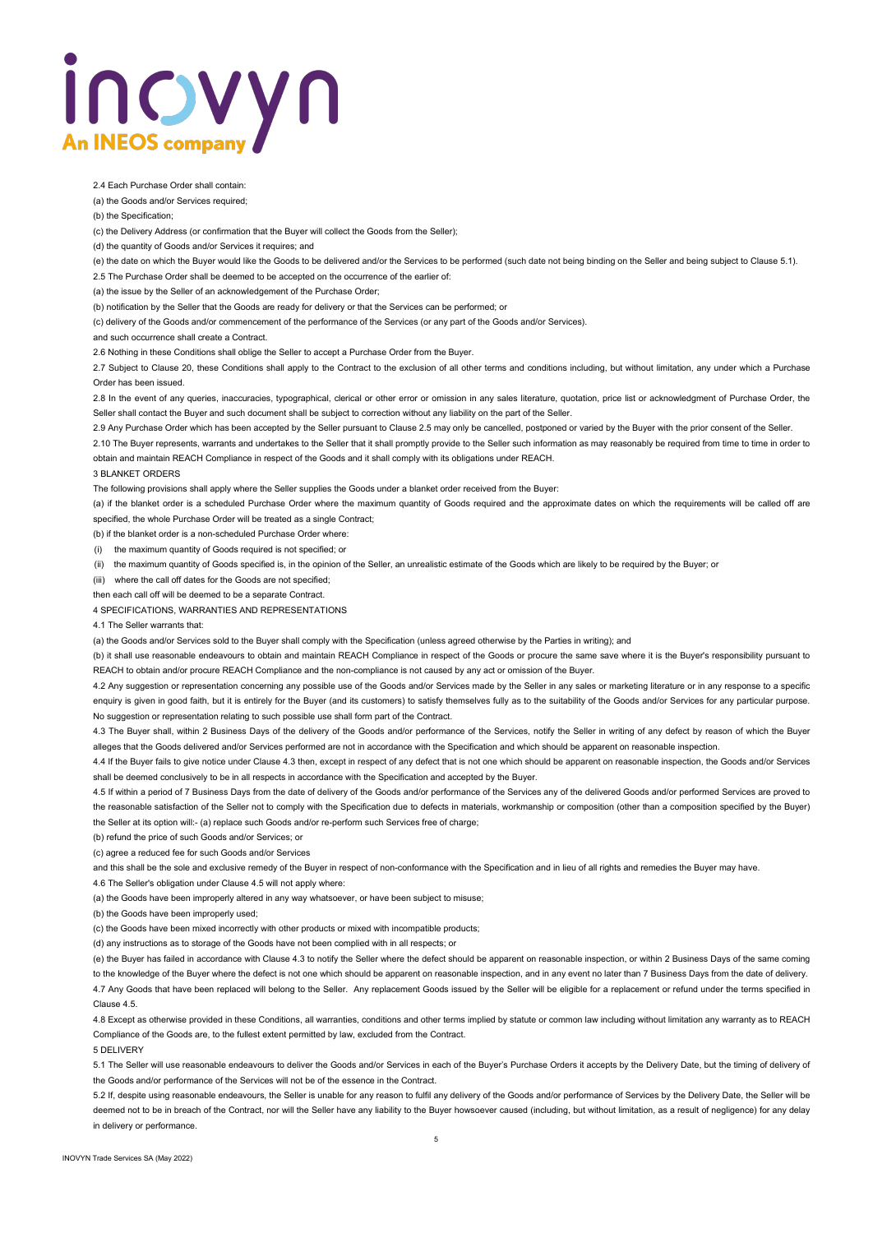# inovyn **An INEOS compar**

2.4 Each Purchase Order shall contain:

(a) the Goods and/or Services required;

(b) the Specification;

(c) the Delivery Address (or confirmation that the Buyer will collect the Goods from the Seller);

(d) the quantity of Goods and/or Services it requires; and

(e) the date on which the Buyer would like the Goods to be delivered and/or the Services to be performed (such date not being binding on the Seller and being subject to Clause 5.1).

2.5 The Purchase Order shall be deemed to be accepted on the occurrence of the earlier of:

(a) the issue by the Seller of an acknowledgement of the Purchase Order;

(b) notification by the Seller that the Goods are ready for delivery or that the Services can be performed; or

(c) delivery of the Goods and/or commencement of the performance of the Services (or any part of the Goods and/or Services).

and such occurrence shall create a Contract.

2.6 Nothing in these Conditions shall oblige the Seller to accept a Purchase Order from the Buyer.

2.7 Subject to Clause 20, these Conditions shall apply to the Contract to the exclusion of all other terms and conditions including, but without limitation, any under which a Purchase Order has been issued.

2.8 In the event of any queries, inaccuracies, typographical, clerical or other error or omission in any sales literature, quotation, price list or acknowledgment of Purchase Order, the Seller shall contact the Buyer and such document shall be subject to correction without any liability on the part of the Seller.

2.9 Any Purchase Order which has been accepted by the Seller pursuant to Clause 2.5 may only be cancelled, postponed or varied by the Buyer with the prior consent of the Seller.

2.10 The Buyer represents, warrants and undertakes to the Seller that it shall promptly provide to the Seller such information as may reasonably be required from time to time in order to obtain and maintain REACH Compliance in respect of the Goods and it shall comply with its obligations under REACH.

### 3 BLANKET ORDERS

The following provisions shall apply where the Seller supplies the Goods under a blanket order received from the Buyer:

(a) if the blanket order is a scheduled Purchase Order where the maximum quantity of Goods required and the approximate dates on which the requirements will be called off are specified, the whole Purchase Order will be treated as a single Contract;

(b) if the blanket order is a non-scheduled Purchase Order where:

(i) the maximum quantity of Goods required is not specified; or

(ii) the maximum quantity of Goods specified is, in the opinion of the Seller, an unrealistic estimate of the Goods which are likely to be required by the Buyer; or

(iii) where the call off dates for the Goods are not specified;

then each call off will be deemed to be a separate Contract.

4 SPECIFICATIONS, WARRANTIES AND REPRESENTATIONS

4.1 The Seller warrants that:

(a) the Goods and/or Services sold to the Buyer shall comply with the Specification (unless agreed otherwise by the Parties in writing); and

(b) it shall use reasonable endeavours to obtain and maintain REACH Compliance in respect of the Goods or procure the same save where it is the Buyer's responsibility pursuant to REACH to obtain and/or procure REACH Compliance and the non-compliance is not caused by any act or omission of the Buyer.

4.2 Any suggestion or representation concerning any possible use of the Goods and/or Services made by the Seller in any sales or marketing literature or in any response to a specific enquiry is given in good faith, but it is entirely for the Buyer (and its customers) to satisfy themselves fully as to the suitability of the Goods and/or Services for any particular purpose. No suggestion or representation relating to such possible use shall form part of the Contract.

4.3 The Buyer shall, within 2 Business Days of the delivery of the Goods and/or performance of the Services, notify the Seller in writing of any defect by reason of which the Buyer alleges that the Goods delivered and/or Services performed are not in accordance with the Specification and which should be apparent on reasonable inspection.

4.4 If the Buyer fails to give notice under Clause 4.3 then, except in respect of any defect that is not one which should be apparent on reasonable inspection, the Goods and/or Services shall be deemed conclusively to be in all respects in accordance with the Specification and accepted by the Buyer.

4.5 If within a period of 7 Business Days from the date of delivery of the Goods and/or performance of the Services any of the delivered Goods and/or performed Services are proved to the reasonable satisfaction of the Seller not to comply with the Specification due to defects in materials, workmanship or composition (other than a composition specified by the Buyer) the Seller at its option will:- (a) replace such Goods and/or re-perform such Services free of charge;

(b) refund the price of such Goods and/or Services; or

(c) agree a reduced fee for such Goods and/or Services

and this shall be the sole and exclusive remedy of the Buyer in respect of non-conformance with the Specification and in lieu of all rights and remedies the Buyer may have.

4.6 The Seller's obligation under Clause 4.5 will not apply where:

(a) the Goods have been improperly altered in any way whatsoever, or have been subject to misuse;

(b) the Goods have been improperly used;

(c) the Goods have been mixed incorrectly with other products or mixed with incompatible products;

(d) any instructions as to storage of the Goods have not been complied with in all respects; or

(e) the Buyer has failed in accordance with Clause 4.3 to notify the Seller where the defect should be apparent on reasonable inspection, or within 2 Business Days of the same coming to the knowledge of the Buyer where the defect is not one which should be apparent on reasonable inspection, and in any event no later than 7 Business Days from the date of delivery. 4.7 Any Goods that have been replaced will belong to the Seller. Any replacement Goods issued by the Seller will be eligible for a replacement or refund under the terms specified in Clause 4.5.

4.8 Except as otherwise provided in these Conditions, all warranties, conditions and other terms implied by statute or common law including without limitation any warranty as to REACH Compliance of the Goods are, to the fullest extent permitted by law, excluded from the Contract.

5 DELIVERY

5.1 The Seller will use reasonable endeavours to deliver the Goods and/or Services in each of the Buyer's Purchase Orders it accepts by the Delivery Date, but the timing of delivery of the Goods and/or performance of the Services will not be of the essence in the Contract.

5.2 If, despite using reasonable endeavours, the Seller is unable for any reason to fulfil any delivery of the Goods and/or performance of Services by the Delivery Date, the Seller will be deemed not to be in breach of the Contract, nor will the Seller have any liability to the Buyer howsoever caused (including, but without limitation, as a result of negligence) for any delay in delivery or performance.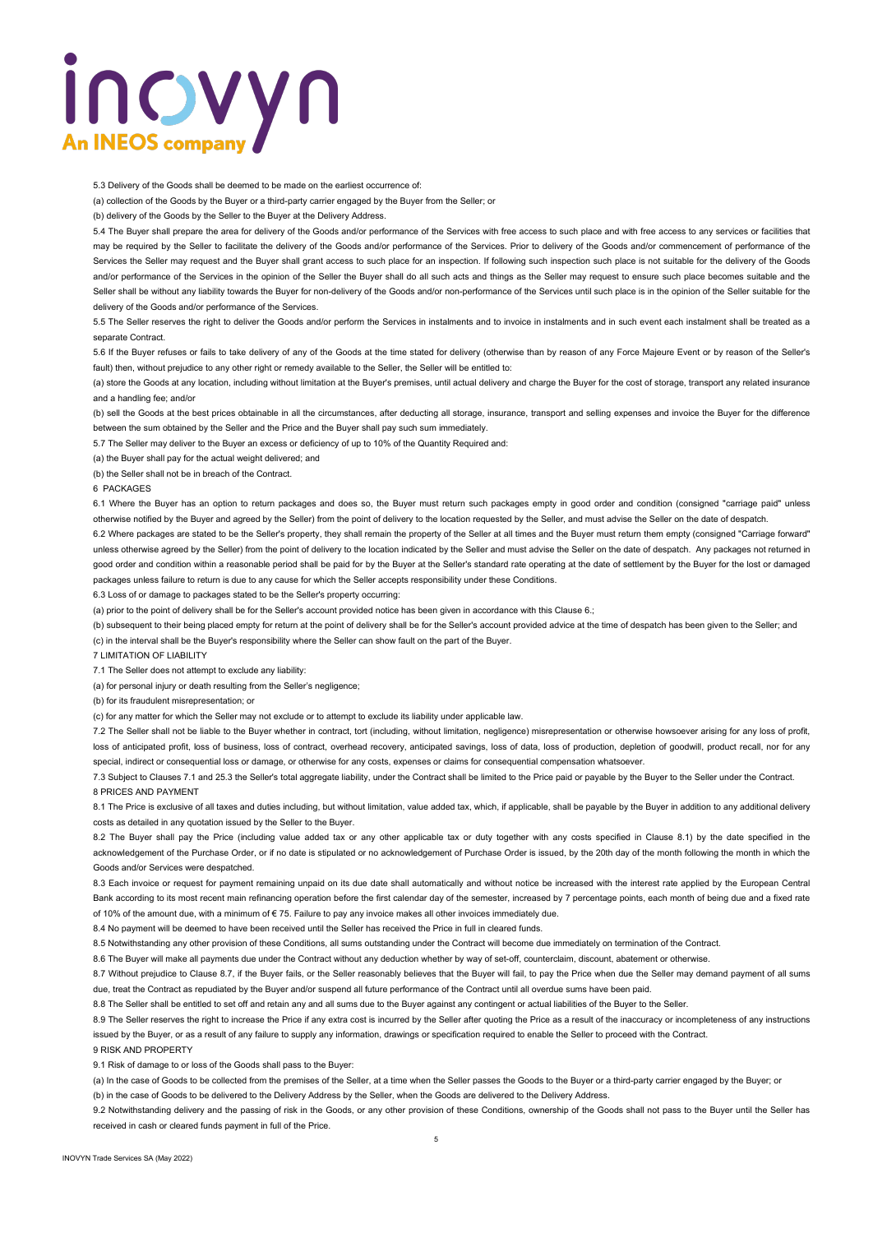# Inovyn **An INEOS compa**

5.3 Delivery of the Goods shall be deemed to be made on the earliest occurrence of:

(a) collection of the Goods by the Buyer or a third-party carrier engaged by the Buyer from the Seller; or

(b) delivery of the Goods by the Seller to the Buyer at the Delivery Address.

5.4 The Buyer shall prepare the area for delivery of the Goods and/or performance of the Services with free access to such place and with free access to any services or facilities that may be required by the Seller to facilitate the delivery of the Goods and/or performance of the Services. Prior to delivery of the Goods and/or commencement of performance of the Services the Seller may request and the Buyer shall grant access to such place for an inspection. If following such inspection such place is not suitable for the delivery of the Goods and/or performance of the Services in the opinion of the Seller the Buyer shall do all such acts and things as the Seller may request to ensure such place becomes suitable and the Seller shall be without any liability towards the Buyer for non-delivery of the Goods and/or non-performance of the Services until such place is in the opinion of the Seller suitable for the delivery of the Goods and/or performance of the Services.

5.5 The Seller reserves the right to deliver the Goods and/or perform the Services in instalments and to invoice in instalments and in such event each instalment shall be treated as a separate Contract.

5.6 If the Buyer refuses or fails to take delivery of any of the Goods at the time stated for delivery (otherwise than by reason of any Force Majeure Event or by reason of the Seller's fault) then, without prejudice to any other right or remedy available to the Seller, the Seller will be entitled to:

(a) store the Goods at any location, including without limitation at the Buyer's premises, until actual delivery and charge the Buyer for the cost of storage, transport any related insurance and a handling fee; and/or

(b) sell the Goods at the best prices obtainable in all the circumstances, after deducting all storage, insurance, transport and selling expenses and invoice the Buyer for the difference between the sum obtained by the Seller and the Price and the Buyer shall pay such sum immediately.

5.7 The Seller may deliver to the Buyer an excess or deficiency of up to 10% of the Quantity Required and:

(a) the Buyer shall pay for the actual weight delivered; and

(b) the Seller shall not be in breach of the Contract.

6 PACKAGES

6.1 Where the Buyer has an option to return packages and does so, the Buyer must return such packages empty in good order and condition (consigned "carriage paid" unless otherwise notified by the Buyer and agreed by the Seller) from the point of delivery to the location requested by the Seller, and must advise the Seller on the date of despatch.

6.2 Where packages are stated to be the Seller's property, they shall remain the property of the Seller at all times and the Buyer must return them empty (consigned "Carriage forward" unless otherwise agreed by the Seller) from the point of delivery to the location indicated by the Seller and must advise the Seller on the date of despatch. Any packages not returned in good order and condition within a reasonable period shall be paid for by the Buyer at the Seller's standard rate operating at the date of settlement by the Buyer for the lost or damaged packages unless failure to return is due to any cause for which the Seller accepts responsibility under these Conditions.

6.3 Loss of or damage to packages stated to be the Seller's property occurring:

(a) prior to the point of delivery shall be for the Seller's account provided notice has been given in accordance with this Clause 6.;

(b) subsequent to their being placed empty for return at the point of delivery shall be for the Seller's account provided advice at the time of despatch has been given to the Seller; and (c) in the interval shall be the Buyer's responsibility where the Seller can show fault on the part of the Buyer.

7 LIMITATION OF LIABILITY

7.1 The Seller does not attempt to exclude any liability:

(a) for personal injury or death resulting from the Seller's negligence;

(b) for its fraudulent misrepresentation; or

(c) for any matter for which the Seller may not exclude or to attempt to exclude its liability under applicable law.

7.2 The Seller shall not be liable to the Buyer whether in contract, tort (including, without limitation, negligence) misrepresentation or otherwise howsoever arising for any loss of profit, loss of anticipated profit, loss of business, loss of contract, overhead recovery, anticipated savings, loss of data, loss of production, depletion of goodwill, product recall, nor for any special, indirect or consequential loss or damage, or otherwise for any costs, expenses or claims for consequential compensation whatsoever.

7.3 Subject to Clauses 7.1 and 25.3 the Seller's total aggregate liability, under the Contract shall be limited to the Price paid or payable by the Buyer to the Seller under the Contract. 8 PRICES AND PAYMENT

8.1 The Price is exclusive of all taxes and duties including, but without limitation, value added tax, which, if applicable, shall be payable by the Buyer in addition to any additional delivery costs as detailed in any quotation issued by the Seller to the Buyer.

8.2 The Buyer shall pay the Price (including value added tax or any other applicable tax or duty together with any costs specified in Clause 8.1) by the date specified in the acknowledgement of the Purchase Order, or if no date is stipulated or no acknowledgement of Purchase Order is issued, by the 20th day of the month following the month in which the Goods and/or Services were despatched.

8.3 Each invoice or request for payment remaining unpaid on its due date shall automatically and without notice be increased with the interest rate applied by the European Central Bank according to its most recent main refinancing operation before the first calendar day of the semester, increased by 7 percentage points, each month of being due and a fixed rate of 10% of the amount due, with a minimum of € 75. Failure to pay any invoice makes all other invoices immediately due.

8.4 No payment will be deemed to have been received until the Seller has received the Price in full in cleared funds.

8.5 Notwithstanding any other provision of these Conditions, all sums outstanding under the Contract will become due immediately on termination of the Contract.

8.6 The Buyer will make all payments due under the Contract without any deduction whether by way of set-off, counterclaim, discount, abatement or otherwise

8.7 Without prejudice to Clause 8.7, if the Buyer fails, or the Seller reasonably believes that the Buyer will fail, to pay the Price when due the Seller may demand payment of all sums due, treat the Contract as repudiated by the Buyer and/or suspend all future performance of the Contract until all overdue sums have been paid.

8.8 The Seller shall be entitled to set off and retain any and all sums due to the Buyer against any contingent or actual liabilities of the Buyer to the Seller.

8.9 The Seller reserves the right to increase the Price if any extra cost is incurred by the Seller after quoting the Price as a result of the inaccuracy or incompleteness of any instructions issued by the Buyer, or as a result of any failure to supply any information, drawings or specification required to enable the Seller to proceed with the Contract.

9 RISK AND PROPERTY

9.1 Risk of damage to or loss of the Goods shall pass to the Buyer:

(a) In the case of Goods to be collected from the premises of the Seller, at a time when the Seller passes the Goods to the Buyer or a third-party carrier engaged by the Buyer; or (b) in the case of Goods to be delivered to the Delivery Address by the Seller, when the Goods are delivered to the Delivery Address.

9.2 Notwithstanding delivery and the passing of risk in the Goods, or any other provision of these Conditions, ownership of the Goods shall not pass to the Buyer until the Seller has received in cash or cleared funds payment in full of the Price.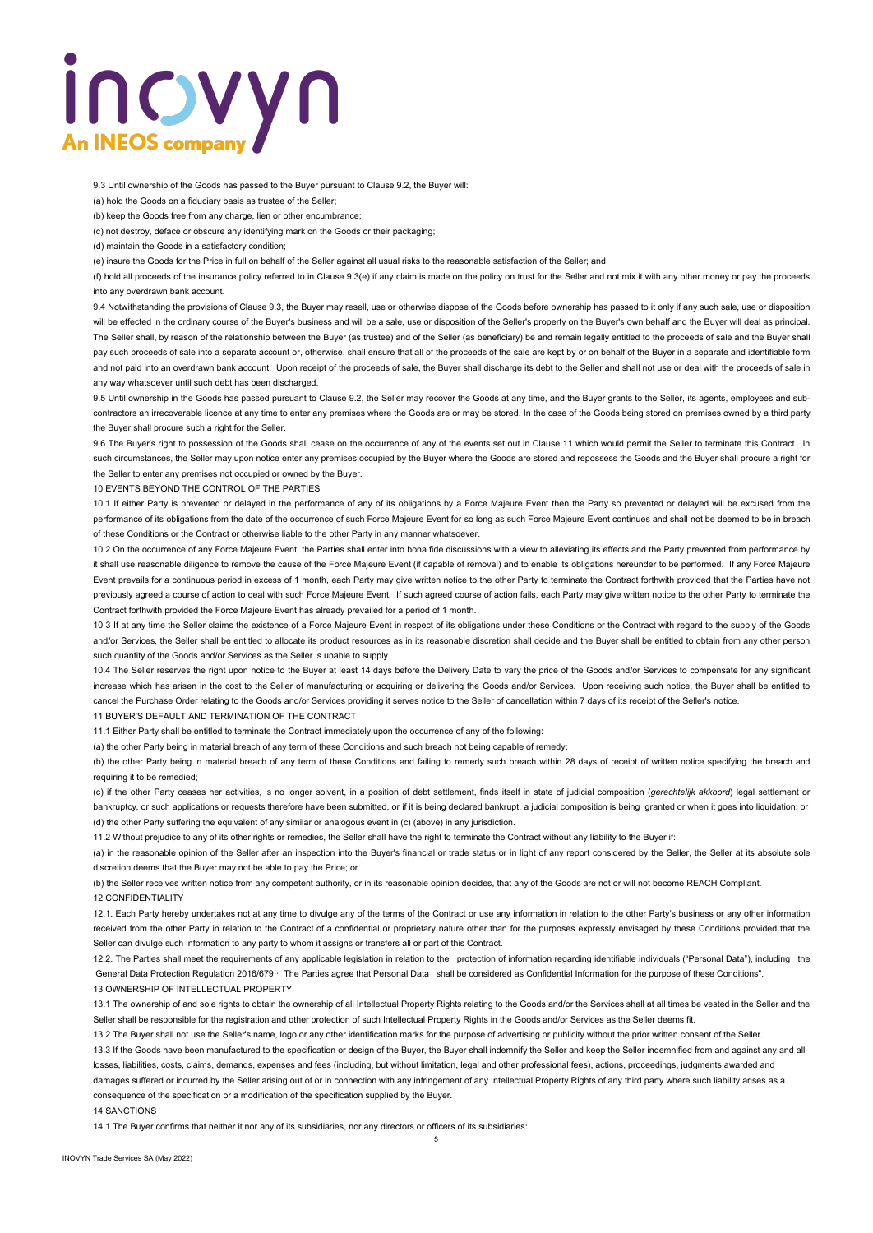# INOVYN **An INEOS compar**

9.3 Until ownership of the Goods has passed to the Buyer pursuant to Clause 9.2, the Buyer will:

(a) hold the Goods on a fiduciary basis as trustee of the Seller;

(b) keep the Goods free from any charge, lien or other encumbrance;

(c) not destroy, deface or obscure any identifying mark on the Goods or their packaging;

(d) maintain the Goods in a satisfactory condition;

(e) insure the Goods for the Price in full on behalf of the Seller against all usual risks to the reasonable satisfaction of the Seller; and

(f) hold all proceeds of the insurance policy referred to in Clause 9.3(e) if any claim is made on the policy on trust for the Seller and not mix it with any other money or pay the proceeds into any overdrawn bank account.

9.4 Notwithstanding the provisions of Clause 9.3, the Buyer may resell, use or otherwise dispose of the Goods before ownership has passed to it only if any such sale, use or disposition will be effected in the ordinary course of the Buyer's business and will be a sale, use or disposition of the Seller's property on the Buyer's own behalf and the Buyer will deal as principal. The Seller shall, by reason of the relationship between the Buyer (as trustee) and of the Seller (as beneficiary) be and remain legally entitled to the proceeds of sale and the Buyer shall pay such proceeds of sale into a separate account or, otherwise, shall ensure that all of the proceeds of the sale are kept by or on behalf of the Buyer in a separate and identifiable form and not paid into an overdrawn bank account. Upon receipt of the proceeds of sale, the Buyer shall discharge its debt to the Seller and shall not use or deal with the proceeds of sale in any way whatsoever until such debt has been discharged.

9.5 Until ownership in the Goods has passed pursuant to Clause 9.2, the Seller may recover the Goods at any time, and the Buyer grants to the Seller, its agents, employees and subcontractors an irrecoverable licence at any time to enter any premises where the Goods are or may be stored. In the case of the Goods being stored on premises owned by a third party the Buyer shall procure such a right for the Seller.

9.6 The Buyer's right to possession of the Goods shall cease on the occurrence of any of the events set out in Clause 11 which would permit the Seller to terminate this Contract. In such circumstances, the Seller may upon notice enter any premises occupied by the Buyer where the Goods are stored and repossess the Goods and the Buyer shall procure a right for the Seller to enter any premises not occupied or owned by the Buyer.

10 EVENTS BEYOND THE CONTROL OF THE PARTIES

10.1 If either Party is prevented or delayed in the performance of any of its obligations by a Force Majeure Event then the Party so prevented or delayed will be excused from the performance of its obligations from the date of the occurrence of such Force Majeure Event for so long as such Force Majeure Event continues and shall not be deemed to be in breach of these Conditions or the Contract or otherwise liable to the other Party in any manner whatsoever.

10.2 On the occurrence of any Force Majeure Event, the Parties shall enter into bona fide discussions with a view to alleviating its effects and the Party prevented from performance by it shall use reasonable diligence to remove the cause of the Force Majeure Event (if capable of removal) and to enable its obligations hereunder to be performed. If any Force Majeure Event prevails for a continuous period in excess of 1 month, each Party may give written notice to the other Party to terminate the Contract forthwith provided that the Parties have not previously agreed a course of action to deal with such Force Majeure Event. If such agreed course of action fails, each Party may give written notice to the other Party to terminate the Contract forthwith provided the Force Majeure Event has already prevailed for a period of 1 month.

10 3 If at any time the Seller claims the existence of a Force Majeure Event in respect of its obligations under these Conditions or the Contract with regard to the supply of the Goods and/or Services, the Seller shall be entitled to allocate its product resources as in its reasonable discretion shall decide and the Buyer shall be entitled to obtain from any other person such quantity of the Goods and/or Services as the Seller is unable to supply.

10.4 The Seller reserves the right upon notice to the Buyer at least 14 days before the Delivery Date to vary the price of the Goods and/or Services to compensate for any significant increase which has arisen in the cost to the Seller of manufacturing or acquiring or delivering the Goods and/or Services. Upon receiving such notice, the Buyer shall be entitled to cancel the Purchase Order relating to the Goods and/or Services providing it serves notice to the Seller of cancellation within 7 days of its receipt of the Seller's notice.

11 BUYER'S DEFAULT AND TERMINATION OF THE CONTRACT

11.1 Either Party shall be entitled to terminate the Contract immediately upon the occurrence of any of the following:

(a) the other Party being in material breach of any term of these Conditions and such breach not being capable of remedy;

(b) the other Party being in material breach of any term of these Conditions and failing to remedy such breach within 28 days of receipt of written notice specifying the breach and requiring it to be remedied;

(c) if the other Party ceases her activities, is no longer solvent, in a position of debt settlement, finds itself in state of judicial composition (*gerechtelijk akkoord*) legal settlement or bankruptcy, or such applications or requests therefore have been submitted, or if it is being declared bankrupt, a judicial composition is being granted or when it goes into liquidation; or (d) the other Party suffering the equivalent of any similar or analogous event in (c) (above) in any jurisdiction.

11.2 Without prejudice to any of its other rights or remedies, the Seller shall have the right to terminate the Contract without any liability to the Buyer if:

(a) in the reasonable opinion of the Seller after an inspection into the Buyer's financial or trade status or in light of any report considered by the Seller, the Seller at its absolute sole discretion deems that the Buyer may not be able to pay the Price; or

(b) the Seller receives written notice from any competent authority, or in its reasonable opinion decides, that any of the Goods are not or will not become REACH Compliant. 12 CONFIDENTIALITY

12.1. Each Party hereby undertakes not at any time to divulge any of the terms of the Contract or use any information in relation to the other Party's business or any other information received from the other Party in relation to the Contract of a confidential or proprietary nature other than for the purposes expressly envisaged by these Conditions provided that the Seller can divulge such information to any party to whom it assigns or transfers all or part of this Contract.

12.2. The Parties shall meet the requirements of any applicable legislation in relation to the protection of information regarding identifiable individuals ("Personal Data"), including the General Data Protection Regulation 2016/679 · The Parties agree that Personal Data shall be considered as Confidential Information for the purpose of these Conditions". 13 OWNERSHIP OF INTELLECTUAL PROPERTY

13.1 The ownership of and sole rights to obtain the ownership of all Intellectual Property Rights relating to the Goods and/or the Services shall at all times be vested in the Seller and the Seller shall be responsible for the registration and other protection of such Intellectual Property Rights in the Goods and/or Services as the Seller deems fit.

13.2 The Buyer shall not use the Seller's name, logo or any other identification marks for the purpose of advertising or publicity without the prior written consent of the Seller.

13.3 If the Goods have been manufactured to the specification or design of the Buyer, the Buyer shall indemnify the Seller and keep the Seller indemnified from and against any and all losses, liabilities, costs, claims, demands, expenses and fees (including, but without limitation, legal and other professional fees), actions, proceedings, judgments awarded and damages suffered or incurred by the Seller arising out of or in connection with any infringement of any Intellectual Property Rights of any third party where such liability arises as a

consequence of the specification or a modification of the specification supplied by the Buyer.

14 SANCTIONS

14.1 The Buyer confirms that neither it nor any of its subsidiaries, nor any directors or officers of its subsidiaries: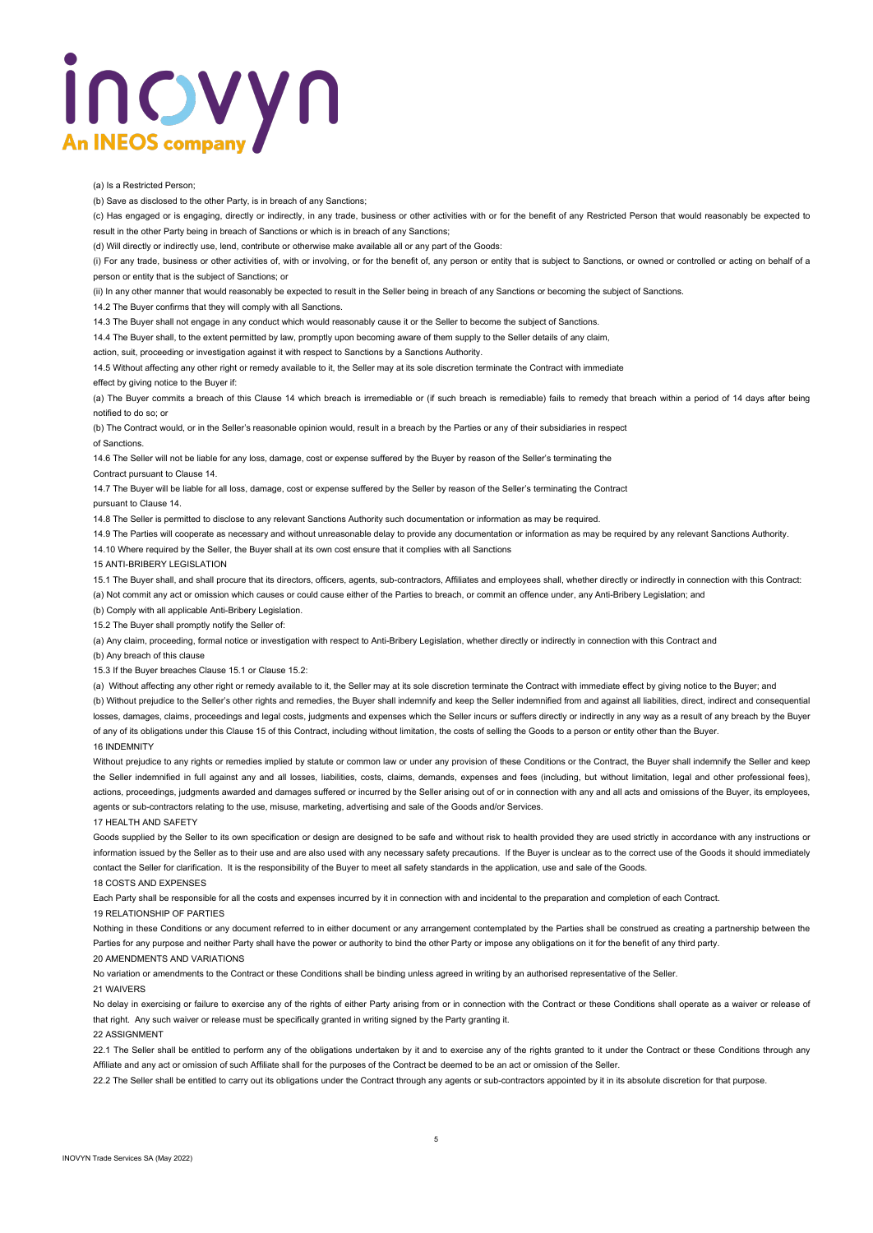# inovyn **An INEOS compar**

(a) Is a Restricted Person;

(b) Save as disclosed to the other Party, is in breach of any Sanctions;

(c) Has engaged or is engaging, directly or indirectly, in any trade, business or other activities with or for the benefit of any Restricted Person that would reasonably be expected to result in the other Party being in breach of Sanctions or which is in breach of any Sanctions;

(d) Will directly or indirectly use, lend, contribute or otherwise make available all or any part of the Goods:

(i) For any trade, business or other activities of, with or involving, or for the benefit of, any person or entity that is subject to Sanctions, or owned or controlled or acting on behalf of a person or entity that is the subject of Sanctions; or

(ii) In any other manner that would reasonably be expected to result in the Seller being in breach of any Sanctions or becoming the subject of Sanctions.

14.2 The Buyer confirms that they will comply with all Sanctions.

14.3 The Buyer shall not engage in any conduct which would reasonably cause it or the Seller to become the subject of Sanctions.

14.4 The Buyer shall, to the extent permitted by law, promptly upon becoming aware of them supply to the Seller details of any claim,

action, suit, proceeding or investigation against it with respect to Sanctions by a Sanctions Authority.

14.5 Without affecting any other right or remedy available to it, the Seller may at its sole discretion terminate the Contract with immediate

effect by giving notice to the Buyer if:

(a) The Buyer commits a breach of this Clause 14 which breach is irremediable or (if such breach is remediable) fails to remedy that breach within a period of 14 days after being notified to do so; or

(b) The Contract would, or in the Seller's reasonable opinion would, result in a breach by the Parties or any of their subsidiaries in respect of Sanctions.

14.6 The Seller will not be liable for any loss, damage, cost or expense suffered by the Buyer by reason of the Seller's terminating the

Contract pursuant to Clause 14.

14.7 The Buyer will be liable for all loss, damage, cost or expense suffered by the Seller by reason of the Seller's terminating the Contract

pursuant to Clause 14.

14.8 The Seller is permitted to disclose to any relevant Sanctions Authority such documentation or information as may be required.

14.9 The Parties will cooperate as necessary and without unreasonable delay to provide any documentation or information as may be required by any relevant Sanctions Authority.

14.10 Where required by the Seller, the Buyer shall at its own cost ensure that it complies with all Sanctions

15 ANTI-BRIBERY LEGISLATION

15.1 The Buyer shall, and shall procure that its directors, officers, agents, sub-contractors, Affiliates and employees shall, whether directly or indirectly in connection with this Contract:

(a) Not commit any act or omission which causes or could cause either of the Parties to breach, or commit an offence under, any Anti-Bribery Legislation; and

(b) Comply with all applicable Anti-Bribery Legislation.

15.2 The Buyer shall promptly notify the Seller of:

(a) Any claim, proceeding, formal notice or investigation with respect to Anti-Bribery Legislation, whether directly or indirectly in connection with this Contract and

(b) Any breach of this clause

15.3 If the Buyer breaches Clause 15.1 or Clause 15.2:

(a) Without affecting any other right or remedy available to it, the Seller may at its sole discretion terminate the Contract with immediate effect by giving notice to the Buyer; and (b) Without prejudice to the Seller's other rights and remedies, the Buyer shall indemnify and keep the Seller indemnified from and against all liabilities, direct, indirect and consequential losses, damages, claims, proceedings and legal costs, judgments and expenses which the Seller incurs or suffers directly or indirectly in any way as a result of any breach by the Buyer of any of its obligations under this Clause 15 of this Contract, including without limitation, the costs of selling the Goods to a person or entity other than the Buyer. 16 INDEMNITY

Without prejudice to any rights or remedies implied by statute or common law or under any provision of these Conditions or the Contract, the Buyer shall indemnify the Seller and keep the Seller indemnified in full against any and all losses, liabilities, costs, claims, demands, expenses and fees (including, but without limitation, legal and other professional fees), actions, proceedings, judgments awarded and damages suffered or incurred by the Seller arising out of or in connection with any and all acts and omissions of the Buyer, its employees, agents or sub-contractors relating to the use, misuse, marketing, advertising and sale of the Goods and/or Services.

17 HEALTH AND SAFETY

Goods supplied by the Seller to its own specification or design are designed to be safe and without risk to health provided they are used strictly in accordance with any instructions or information issued by the Seller as to their use and are also used with any necessary safety precautions. If the Buyer is unclear as to the correct use of the Goods it should immediately contact the Seller for clarification. It is the responsibility of the Buyer to meet all safety standards in the application, use and sale of the Goods.

18 COSTS AND EXPENSES

Each Party shall be responsible for all the costs and expenses incurred by it in connection with and incidental to the preparation and completion of each Contract.

19 RELATIONSHIP OF PARTIES

Nothing in these Conditions or any document referred to in either document or any arrangement contemplated by the Parties shall be construed as creating a partnership between the Parties for any purpose and neither Party shall have the power or authority to bind the other Party or impose any obligations on it for the benefit of any third party. 20 AMENDMENTS AND VARIATIONS

No variation or amendments to the Contract or these Conditions shall be binding unless agreed in writing by an authorised representative of the Seller.

21 WAIVERS

No delay in exercising or failure to exercise any of the rights of either Party arising from or in connection with the Contract or these Conditions shall operate as a waiver or release of that right. Any such waiver or release must be specifically granted in writing signed by the Party granting it.

### 22 ASSIGNMENT

22.1 The Seller shall be entitled to perform any of the obligations undertaken by it and to exercise any of the rights granted to it under the Contract or these Conditions through any Affiliate and any act or omission of such Affiliate shall for the purposes of the Contract be deemed to be an act or omission of the Seller.

22.2 The Seller shall be entitled to carry out its obligations under the Contract through any agents or sub-contractors appointed by it in its absolute discretion for that purpose.